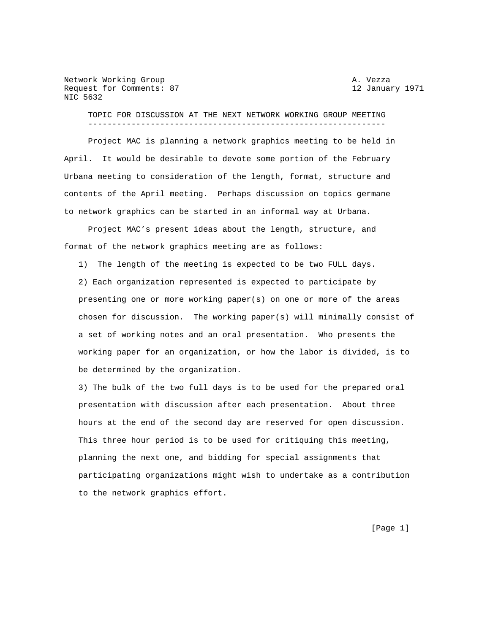Network Working Group and A. Vezza Request for Comments: 87 12 January 1971 NIC 5632

 TOPIC FOR DISCUSSION AT THE NEXT NETWORK WORKING GROUP MEETING --------------------------------------------------------------

 Project MAC is planning a network graphics meeting to be held in April. It would be desirable to devote some portion of the February Urbana meeting to consideration of the length, format, structure and contents of the April meeting. Perhaps discussion on topics germane to network graphics can be started in an informal way at Urbana.

 Project MAC's present ideas about the length, structure, and format of the network graphics meeting are as follows:

1) The length of the meeting is expected to be two FULL days.

 2) Each organization represented is expected to participate by presenting one or more working paper(s) on one or more of the areas chosen for discussion. The working paper(s) will minimally consist of a set of working notes and an oral presentation. Who presents the working paper for an organization, or how the labor is divided, is to be determined by the organization.

 3) The bulk of the two full days is to be used for the prepared oral presentation with discussion after each presentation. About three hours at the end of the second day are reserved for open discussion. This three hour period is to be used for critiquing this meeting, planning the next one, and bidding for special assignments that participating organizations might wish to undertake as a contribution to the network graphics effort.

[Page 1]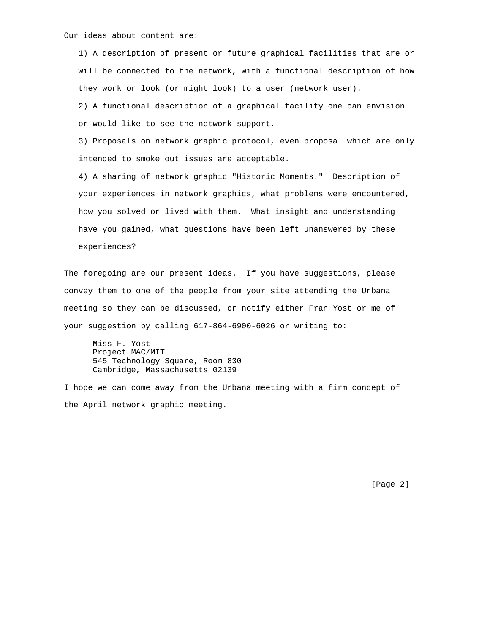Our ideas about content are:

 1) A description of present or future graphical facilities that are or will be connected to the network, with a functional description of how they work or look (or might look) to a user (network user).

 2) A functional description of a graphical facility one can envision or would like to see the network support.

 3) Proposals on network graphic protocol, even proposal which are only intended to smoke out issues are acceptable.

 4) A sharing of network graphic "Historic Moments." Description of your experiences in network graphics, what problems were encountered, how you solved or lived with them. What insight and understanding have you gained, what questions have been left unanswered by these experiences?

The foregoing are our present ideas. If you have suggestions, please convey them to one of the people from your site attending the Urbana meeting so they can be discussed, or notify either Fran Yost or me of your suggestion by calling 617-864-6900-6026 or writing to:

 Miss F. Yost Project MAC/MIT 545 Technology Square, Room 830 Cambridge, Massachusetts 02139

I hope we can come away from the Urbana meeting with a firm concept of the April network graphic meeting.

[Page 2]